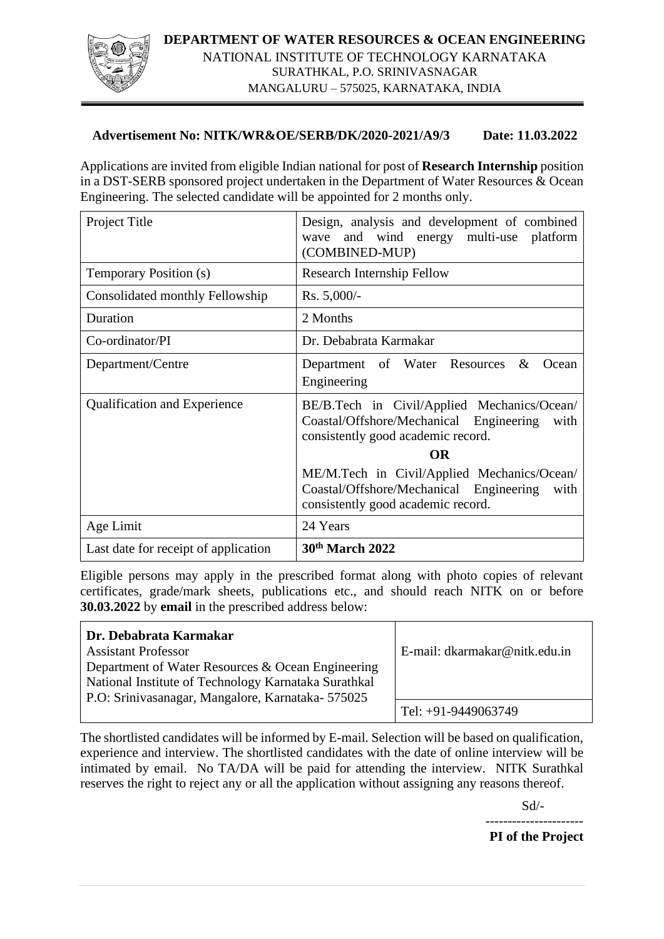

# **Advertisement No: NITK/WR&OE/SERB/DK/2020-2021/A9/3 Date: 11.03.2022**

Applications are invited from eligible Indian national for post of **Research Internship** position in a DST-SERB sponsored project undertaken in the Department of Water Resources & Ocean Engineering. The selected candidate will be appointed for 2 months only.

| Project Title                        | Design, analysis and development of combined<br>wave and wind energy multi-use platform<br>(COMBINED-MUP)                            |
|--------------------------------------|--------------------------------------------------------------------------------------------------------------------------------------|
| Temporary Position (s)               | Research Internship Fellow                                                                                                           |
| Consolidated monthly Fellowship      | $Rs. 5,000/-$                                                                                                                        |
| Duration                             | 2 Months                                                                                                                             |
| Co-ordinator/PI                      | Dr. Debabrata Karmakar                                                                                                               |
| Department/Centre                    | Department of Water Resources<br>$\&$<br>Ocean<br>Engineering                                                                        |
| <b>Qualification and Experience</b>  | BE/B.Tech in Civil/Applied Mechanics/Ocean/<br>Coastal/Offshore/Mechanical Engineering<br>with<br>consistently good academic record. |
|                                      | <b>OR</b>                                                                                                                            |
|                                      | ME/M.Tech in Civil/Applied Mechanics/Ocean/<br>Coastal/Offshore/Mechanical Engineering<br>with<br>consistently good academic record. |
| Age Limit                            | 24 Years                                                                                                                             |
| Last date for receipt of application | 30th March 2022                                                                                                                      |

Eligible persons may apply in the prescribed format along with photo copies of relevant certificates, grade/mark sheets, publications etc., and should reach NITK on or before **30.03.2022** by **email** in the prescribed address below:

| Dr. Debabrata Karmakar<br><b>Assistant Professor</b><br>Department of Water Resources & Ocean Engineering<br>National Institute of Technology Karnataka Surathkal<br>P.O: Srinivasanagar, Mangalore, Karnataka- 575025 | E-mail: dkarmakar@nitk.edu.in |
|------------------------------------------------------------------------------------------------------------------------------------------------------------------------------------------------------------------------|-------------------------------|
|                                                                                                                                                                                                                        | Tel: +91-9449063749           |

The shortlisted candidates will be informed by E-mail. Selection will be based on qualification, experience and interview. The shortlisted candidates with the date of online interview will be intimated by email. No TA/DA will be paid for attending the interview. NITK Surathkal reserves the right to reject any or all the application without assigning any reasons thereof.

Sd/-

---------------------- **PI of the Project**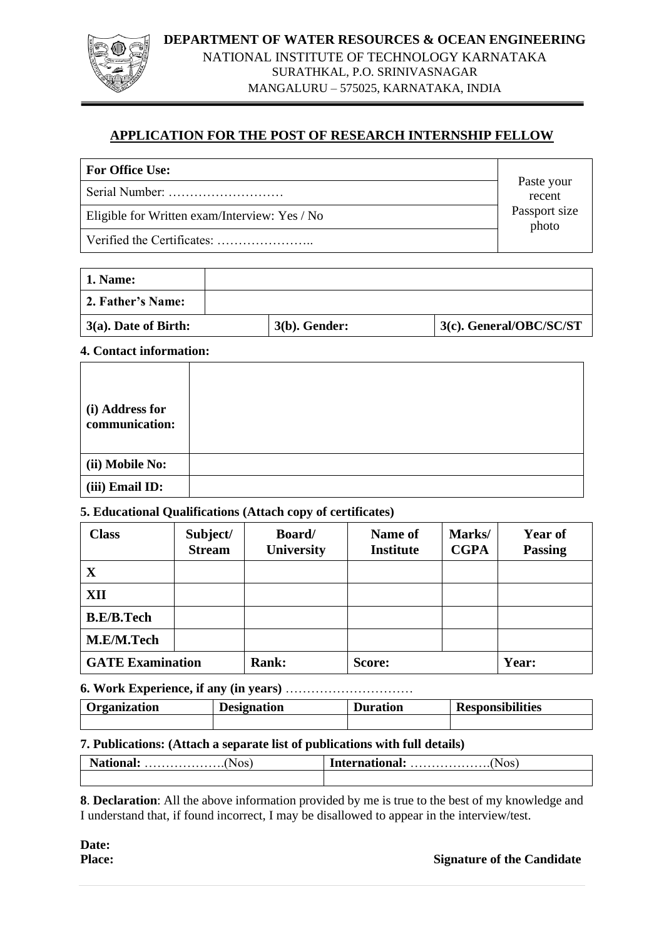#### **DEPARTMENT OF WATER RESOURCES & OCEAN ENGINEERING**



NATIONAL INSTITUTE OF TECHNOLOGY KARNATAKA SURATHKAL, P.O. SRINIVASNAGAR

MANGALURU – 575025, KARNATAKA, INDIA

# **APPLICATION FOR THE POST OF RESEARCH INTERNSHIP FELLOW**

| <b>For Office Use:</b>                        |                        |
|-----------------------------------------------|------------------------|
|                                               | Paste your<br>recent   |
| Eligible for Written exam/Interview: Yes / No | Passport size<br>photo |
|                                               |                        |

| <b>1. Name:</b>         |                  |                         |
|-------------------------|------------------|-------------------------|
| 2. Father's Name:       |                  |                         |
| $3(a)$ . Date of Birth: | $3(b)$ . Gender: | 3(c). General/OBC/SC/ST |

### **4. Contact information:**

| (i) Address for<br>communication: |  |
|-----------------------------------|--|
| (ii) Mobile No:                   |  |
| (iii) Email ID:                   |  |

## **5. Educational Qualifications (Attach copy of certificates)**

| <b>Class</b>            | Subject/<br><b>Stream</b> | Board/<br>University | Name of<br><b>Institute</b> | Marks/<br><b>CGPA</b> | <b>Year of</b><br><b>Passing</b> |
|-------------------------|---------------------------|----------------------|-----------------------------|-----------------------|----------------------------------|
| X                       |                           |                      |                             |                       |                                  |
| XII                     |                           |                      |                             |                       |                                  |
| <b>B.E/B.Tech</b>       |                           |                      |                             |                       |                                  |
| M.E/M.Tech              |                           |                      |                             |                       |                                  |
| <b>GATE Examination</b> |                           | <b>Rank:</b>         | Score:                      |                       | Year:                            |

#### **6. Work Experience, if any (in years)** …………………………

| Organization | <b>Designation</b> | <b>Duration</b> | <b>Responsibilities</b> |  |
|--------------|--------------------|-----------------|-------------------------|--|
|              |                    |                 |                         |  |

## **7. Publications: (Attach a separate list of publications with full details)**

**8**. **Declaration**: All the above information provided by me is true to the best of my knowledge and I understand that, if found incorrect, I may be disallowed to appear in the interview/test.

**Date:** 

**Place:** Signature of the Candidate